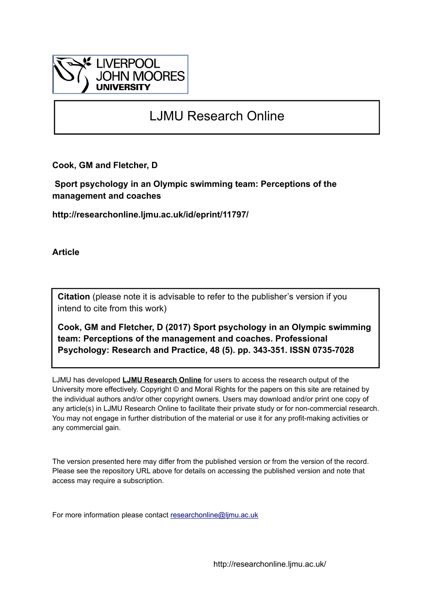

# LJMU Research Online

**Cook, GM and Fletcher, D**

 **Sport psychology in an Olympic swimming team: Perceptions of the management and coaches**

**http://researchonline.ljmu.ac.uk/id/eprint/11797/**

**Article**

**Citation** (please note it is advisable to refer to the publisher's version if you intend to cite from this work)

**Cook, GM and Fletcher, D (2017) Sport psychology in an Olympic swimming team: Perceptions of the management and coaches. Professional Psychology: Research and Practice, 48 (5). pp. 343-351. ISSN 0735-7028** 

LJMU has developed **[LJMU Research Online](http://researchonline.ljmu.ac.uk/)** for users to access the research output of the University more effectively. Copyright © and Moral Rights for the papers on this site are retained by the individual authors and/or other copyright owners. Users may download and/or print one copy of any article(s) in LJMU Research Online to facilitate their private study or for non-commercial research. You may not engage in further distribution of the material or use it for any profit-making activities or any commercial gain.

The version presented here may differ from the published version or from the version of the record. Please see the repository URL above for details on accessing the published version and note that access may require a subscription.

For more information please contact [researchonline@ljmu.ac.uk](mailto:researchonline@ljmu.ac.uk)

http://researchonline.ljmu.ac.uk/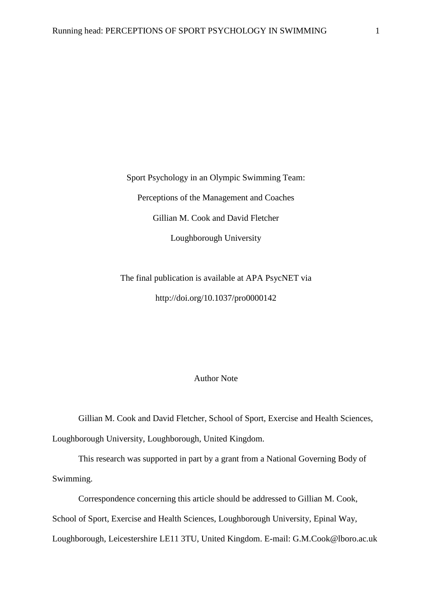Sport Psychology in an Olympic Swimming Team: Perceptions of the Management and Coaches Gillian M. Cook and David Fletcher Loughborough University

The final publication is available at APA PsycNET via <http://doi.org/10.1037/pro0000142>

## Author Note

Gillian M. Cook and David Fletcher, School of Sport, Exercise and Health Sciences, Loughborough University, Loughborough, United Kingdom.

This research was supported in part by a grant from a National Governing Body of Swimming.

Correspondence concerning this article should be addressed to Gillian M. Cook, School of Sport, Exercise and Health Sciences, Loughborough University, Epinal Way, Loughborough, Leicestershire LE11 3TU, United Kingdom. E-mail: G.M.Cook@lboro.ac.uk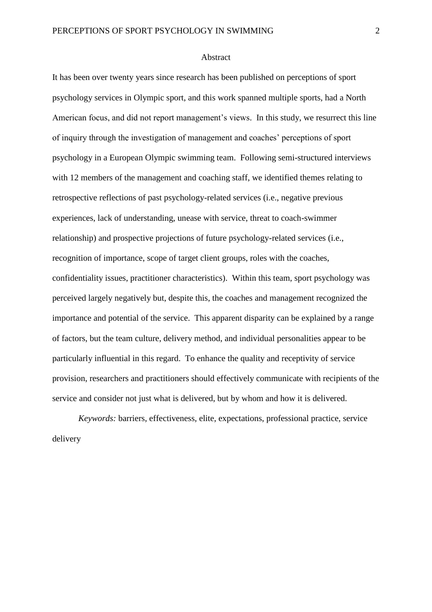#### Abstract

It has been over twenty years since research has been published on perceptions of sport psychology services in Olympic sport, and this work spanned multiple sports, had a North American focus, and did not report management's views. In this study, we resurrect this line of inquiry through the investigation of management and coaches' perceptions of sport psychology in a European Olympic swimming team. Following semi-structured interviews with 12 members of the management and coaching staff, we identified themes relating to retrospective reflections of past psychology-related services (i.e., negative previous experiences, lack of understanding, unease with service, threat to coach-swimmer relationship) and prospective projections of future psychology-related services (i.e., recognition of importance, scope of target client groups, roles with the coaches, confidentiality issues, practitioner characteristics). Within this team, sport psychology was perceived largely negatively but, despite this, the coaches and management recognized the importance and potential of the service. This apparent disparity can be explained by a range of factors, but the team culture, delivery method, and individual personalities appear to be particularly influential in this regard. To enhance the quality and receptivity of service provision, researchers and practitioners should effectively communicate with recipients of the service and consider not just what is delivered, but by whom and how it is delivered.

*Keywords:* barriers, effectiveness, elite, expectations, professional practice, service delivery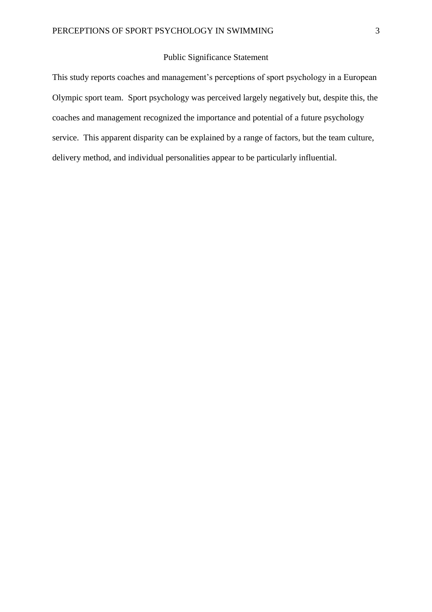## Public Significance Statement

This study reports coaches and management's perceptions of sport psychology in a European Olympic sport team. Sport psychology was perceived largely negatively but, despite this, the coaches and management recognized the importance and potential of a future psychology service. This apparent disparity can be explained by a range of factors, but the team culture, delivery method, and individual personalities appear to be particularly influential.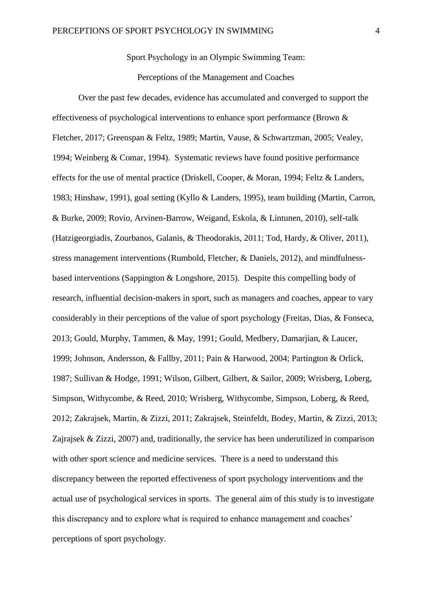Sport Psychology in an Olympic Swimming Team:

Perceptions of the Management and Coaches

Over the past few decades, evidence has accumulated and converged to support the effectiveness of psychological interventions to enhance sport performance (Brown & Fletcher, 2017; Greenspan & Feltz, 1989; Martin, Vause, & Schwartzman, 2005; Vealey, 1994; Weinberg & Comar, 1994). Systematic reviews have found positive performance effects for the use of mental practice (Driskell, Cooper, & Moran, 1994; Feltz & Landers, 1983; Hinshaw, 1991), goal setting (Kyllo & Landers, 1995), team building (Martin, Carron, & Burke, 2009; Rovio, Arvinen-Barrow, Weigand, Eskola, & Lintunen, 2010), self-talk (Hatzigeorgiadis, Zourbanos, Galanis, & Theodorakis, 2011; Tod, Hardy, & Oliver, 2011), stress management interventions (Rumbold, Fletcher, & Daniels, 2012), and mindfulnessbased interventions (Sappington & Longshore, 2015). Despite this compelling body of research, influential decision-makers in sport, such as managers and coaches, appear to vary considerably in their perceptions of the value of sport psychology (Freitas, Dias, & Fonseca, 2013; Gould, Murphy, Tammen, & May, 1991; Gould, Medbery, Damarjian, & Laucer, 1999; Johnson, Andersson, & Fallby, 2011; Pain & Harwood, 2004; Partington & Orlick, 1987; Sullivan & Hodge, 1991; Wilson, Gilbert, Gilbert, & Sailor, 2009; Wrisberg, Loberg, Simpson, Withycombe, & Reed, 2010; Wrisberg, Withycombe, Simpson, Loberg, & Reed, 2012; Zakrajsek, Martin, & Zizzi, 2011; Zakrajsek, Steinfeldt, Bodey, Martin, & Zizzi, 2013; Zajrajsek & Zizzi, 2007) and, traditionally, the service has been underutilized in comparison with other sport science and medicine services. There is a need to understand this discrepancy between the reported effectiveness of sport psychology interventions and the actual use of psychological services in sports. The general aim of this study is to investigate this discrepancy and to explore what is required to enhance management and coaches' perceptions of sport psychology.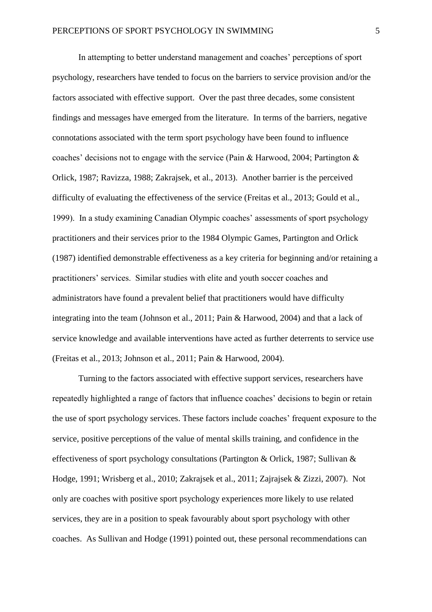In attempting to better understand management and coaches' perceptions of sport psychology, researchers have tended to focus on the barriers to service provision and/or the factors associated with effective support. Over the past three decades, some consistent findings and messages have emerged from the literature. In terms of the barriers, negative connotations associated with the term sport psychology have been found to influence coaches' decisions not to engage with the service (Pain & Harwood, 2004; Partington & Orlick, 1987; Ravizza, 1988; Zakrajsek, et al., 2013). Another barrier is the perceived difficulty of evaluating the effectiveness of the service (Freitas et al., 2013; Gould et al., 1999). In a study examining Canadian Olympic coaches' assessments of sport psychology practitioners and their services prior to the 1984 Olympic Games, Partington and Orlick (1987) identified demonstrable effectiveness as a key criteria for beginning and/or retaining a practitioners' services. Similar studies with elite and youth soccer coaches and administrators have found a prevalent belief that practitioners would have difficulty integrating into the team (Johnson et al., 2011; Pain & Harwood, 2004) and that a lack of service knowledge and available interventions have acted as further deterrents to service use (Freitas et al., 2013; Johnson et al., 2011; Pain & Harwood, 2004).

Turning to the factors associated with effective support services, researchers have repeatedly highlighted a range of factors that influence coaches' decisions to begin or retain the use of sport psychology services. These factors include coaches' frequent exposure to the service, positive perceptions of the value of mental skills training, and confidence in the effectiveness of sport psychology consultations (Partington & Orlick, 1987; Sullivan & Hodge, 1991; Wrisberg et al., 2010; Zakrajsek et al., 2011; Zajrajsek & Zizzi, 2007). Not only are coaches with positive sport psychology experiences more likely to use related services, they are in a position to speak favourably about sport psychology with other coaches. As Sullivan and Hodge (1991) pointed out, these personal recommendations can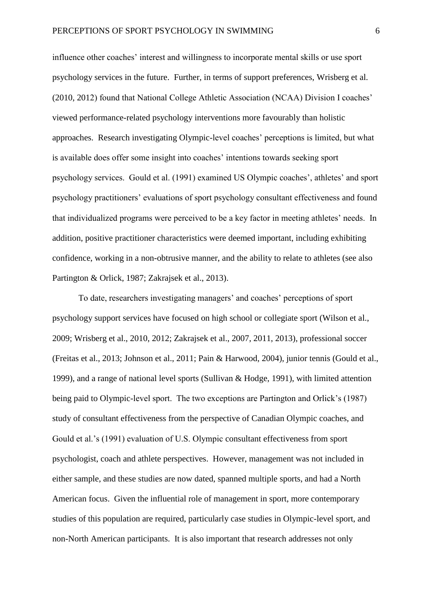influence other coaches' interest and willingness to incorporate mental skills or use sport psychology services in the future. Further, in terms of support preferences, Wrisberg et al. (2010, 2012) found that National College Athletic Association (NCAA) Division I coaches' viewed performance-related psychology interventions more favourably than holistic approaches. Research investigating Olympic-level coaches' perceptions is limited, but what is available does offer some insight into coaches' intentions towards seeking sport psychology services. Gould et al. (1991) examined US Olympic coaches', athletes' and sport psychology practitioners' evaluations of sport psychology consultant effectiveness and found that individualized programs were perceived to be a key factor in meeting athletes' needs. In addition, positive practitioner characteristics were deemed important, including exhibiting confidence, working in a non-obtrusive manner, and the ability to relate to athletes (see also Partington & Orlick, 1987; Zakrajsek et al., 2013).

To date, researchers investigating managers' and coaches' perceptions of sport psychology support services have focused on high school or collegiate sport (Wilson et al., 2009; Wrisberg et al., 2010, 2012; Zakrajsek et al., 2007, 2011, 2013), professional soccer (Freitas et al., 2013; Johnson et al., 2011; Pain & Harwood, 2004), junior tennis (Gould et al., 1999), and a range of national level sports (Sullivan & Hodge, 1991), with limited attention being paid to Olympic-level sport. The two exceptions are Partington and Orlick's (1987) study of consultant effectiveness from the perspective of Canadian Olympic coaches, and Gould et al.'s (1991) evaluation of U.S. Olympic consultant effectiveness from sport psychologist, coach and athlete perspectives. However, management was not included in either sample, and these studies are now dated, spanned multiple sports, and had a North American focus. Given the influential role of management in sport, more contemporary studies of this population are required, particularly case studies in Olympic-level sport, and non-North American participants. It is also important that research addresses not only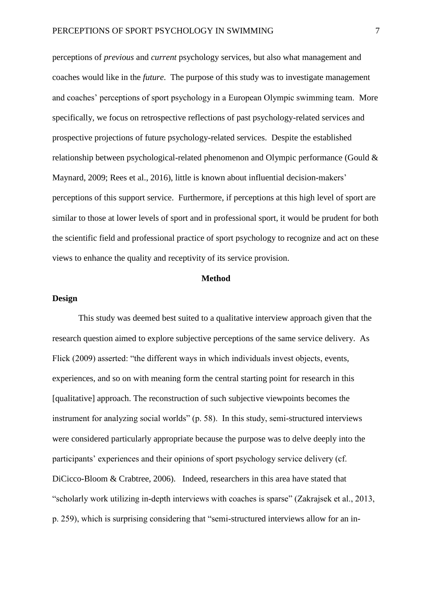perceptions of *previous* and *current* psychology services, but also what management and coaches would like in the *future*. The purpose of this study was to investigate management and coaches' perceptions of sport psychology in a European Olympic swimming team. More specifically, we focus on retrospective reflections of past psychology-related services and prospective projections of future psychology-related services. Despite the established relationship between psychological-related phenomenon and Olympic performance (Gould & Maynard, 2009; Rees et al., 2016), little is known about influential decision-makers' perceptions of this support service. Furthermore, if perceptions at this high level of sport are similar to those at lower levels of sport and in professional sport, it would be prudent for both the scientific field and professional practice of sport psychology to recognize and act on these views to enhance the quality and receptivity of its service provision.

## **Method**

### **Design**

This study was deemed best suited to a qualitative interview approach given that the research question aimed to explore subjective perceptions of the same service delivery. As Flick (2009) asserted: "the different ways in which individuals invest objects, events, experiences, and so on with meaning form the central starting point for research in this [qualitative] approach. The reconstruction of such subjective viewpoints becomes the instrument for analyzing social worlds" (p. 58). In this study, semi-structured interviews were considered particularly appropriate because the purpose was to delve deeply into the participants' experiences and their opinions of sport psychology service delivery (cf. DiCicco-Bloom & Crabtree, 2006). Indeed, researchers in this area have stated that "scholarly work utilizing in-depth interviews with coaches is sparse" (Zakrajsek et al., 2013, p. 259), which is surprising considering that "semi-structured interviews allow for an in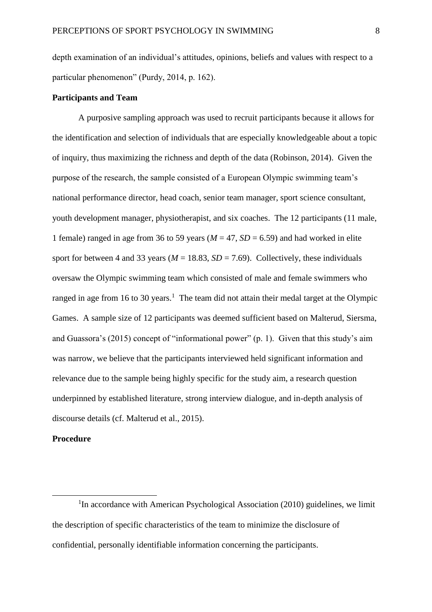depth examination of an individual's attitudes, opinions, beliefs and values with respect to a particular phenomenon" (Purdy, 2014, p. 162).

#### **Participants and Team**

A purposive sampling approach was used to recruit participants because it allows for the identification and selection of individuals that are especially knowledgeable about a topic of inquiry, thus maximizing the richness and depth of the data (Robinson, 2014). Given the purpose of the research, the sample consisted of a European Olympic swimming team's national performance director, head coach, senior team manager, sport science consultant, youth development manager, physiotherapist, and six coaches. The 12 participants (11 male, 1 female) ranged in age from 36 to 59 years ( $M = 47$ ,  $SD = 6.59$ ) and had worked in elite sport for between 4 and 33 years ( $M = 18.83$ ,  $SD = 7.69$ ). Collectively, these individuals oversaw the Olympic swimming team which consisted of male and female swimmers who ranged in age from 16 to 30 years.<sup>1</sup> The team did not attain their medal target at the Olympic Games. A sample size of 12 participants was deemed sufficient based on Malterud, Siersma, and Guassora's (2015) concept of "informational power" (p. 1). Given that this study's aim was narrow, we believe that the participants interviewed held significant information and relevance due to the sample being highly specific for the study aim, a research question underpinned by established literature, strong interview dialogue, and in-depth analysis of discourse details (cf. Malterud et al., 2015).

### **Procedure**

 $\overline{a}$ 

<sup>1</sup>In accordance with American Psychological Association (2010) guidelines, we limit the description of specific characteristics of the team to minimize the disclosure of confidential, personally identifiable information concerning the participants.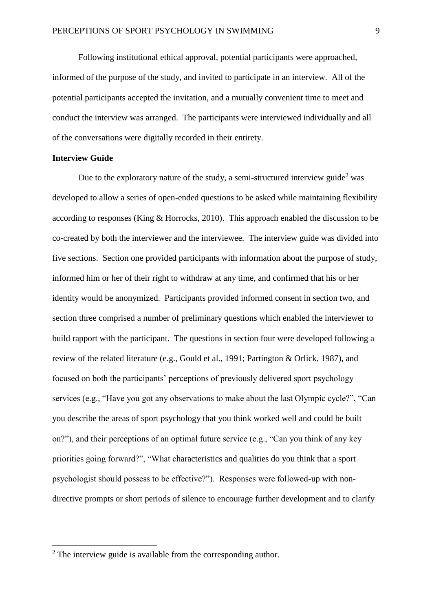Following institutional ethical approval, potential participants were approached, informed of the purpose of the study, and invited to participate in an interview. All of the potential participants accepted the invitation, and a mutually convenient time to meet and conduct the interview was arranged. The participants were interviewed individually and all of the conversations were digitally recorded in their entirety.

## **Interview Guide**

 $\overline{a}$ 

Due to the exploratory nature of the study, a semi-structured interview guide<sup>2</sup> was developed to allow a series of open-ended questions to be asked while maintaining flexibility according to responses (King & Horrocks, 2010). This approach enabled the discussion to be co-created by both the interviewer and the interviewee. The interview guide was divided into five sections. Section one provided participants with information about the purpose of study, informed him or her of their right to withdraw at any time, and confirmed that his or her identity would be anonymized. Participants provided informed consent in section two, and section three comprised a number of preliminary questions which enabled the interviewer to build rapport with the participant. The questions in section four were developed following a review of the related literature (e.g., Gould et al., 1991; Partington & Orlick, 1987), and focused on both the participants' perceptions of previously delivered sport psychology services (e.g., "Have you got any observations to make about the last Olympic cycle?", "Can you describe the areas of sport psychology that you think worked well and could be built on?"), and their perceptions of an optimal future service (e.g., "Can you think of any key priorities going forward?", "What characteristics and qualities do you think that a sport psychologist should possess to be effective?"). Responses were followed-up with nondirective prompts or short periods of silence to encourage further development and to clarify

 $2$ . The interview guide is available from the corresponding author.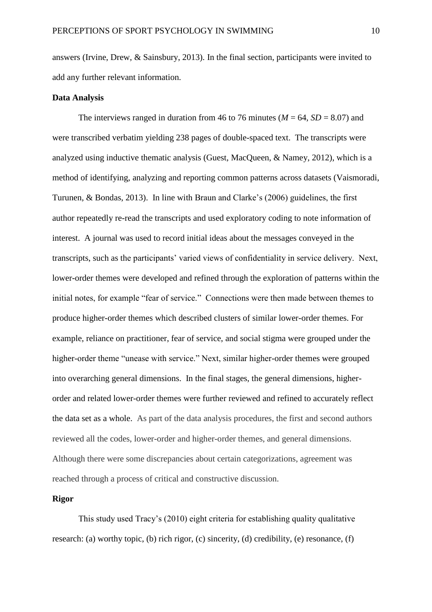answers (Irvine, Drew, & Sainsbury, 2013). In the final section, participants were invited to add any further relevant information.

#### **Data Analysis**

The interviews ranged in duration from 46 to 76 minutes ( $M = 64$ ,  $SD = 8.07$ ) and were transcribed verbatim yielding 238 pages of double-spaced text. The transcripts were analyzed using inductive thematic analysis (Guest, MacQueen, & Namey, 2012), which is a method of identifying, analyzing and reporting common patterns across datasets (Vaismoradi, Turunen, & Bondas, 2013). In line with Braun and Clarke's (2006) guidelines, the first author repeatedly re-read the transcripts and used exploratory coding to note information of interest. A journal was used to record initial ideas about the messages conveyed in the transcripts, such as the participants' varied views of confidentiality in service delivery. Next, lower-order themes were developed and refined through the exploration of patterns within the initial notes, for example "fear of service." Connections were then made between themes to produce higher-order themes which described clusters of similar lower-order themes. For example, reliance on practitioner, fear of service, and social stigma were grouped under the higher-order theme "unease with service." Next, similar higher-order themes were grouped into overarching general dimensions. In the final stages, the general dimensions, higherorder and related lower-order themes were further reviewed and refined to accurately reflect the data set as a whole. As part of the data analysis procedures, the first and second authors reviewed all the codes, lower-order and higher-order themes, and general dimensions. Although there were some discrepancies about certain categorizations, agreement was reached through a process of critical and constructive discussion.

## **Rigor**

This study used Tracy's (2010) eight criteria for establishing quality qualitative research: (a) worthy topic, (b) rich rigor, (c) sincerity, (d) credibility, (e) resonance, (f)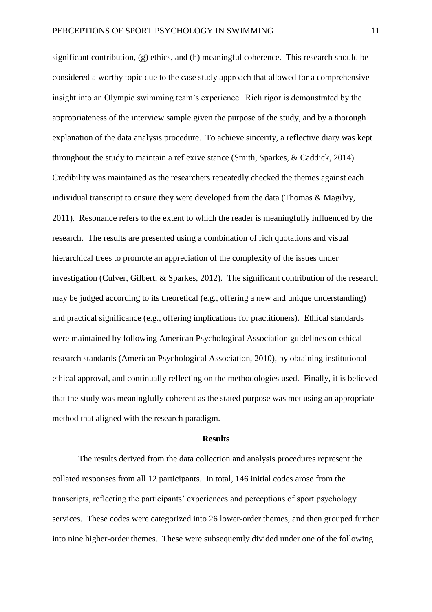significant contribution, (g) ethics, and (h) meaningful coherence. This research should be considered a worthy topic due to the case study approach that allowed for a comprehensive insight into an Olympic swimming team's experience. Rich rigor is demonstrated by the appropriateness of the interview sample given the purpose of the study, and by a thorough explanation of the data analysis procedure. To achieve sincerity, a reflective diary was kept throughout the study to maintain a reflexive stance (Smith, Sparkes, & Caddick, 2014). Credibility was maintained as the researchers repeatedly checked the themes against each individual transcript to ensure they were developed from the data (Thomas & Magilvy, 2011). Resonance refers to the extent to which the reader is meaningfully influenced by the research. The results are presented using a combination of rich quotations and visual hierarchical trees to promote an appreciation of the complexity of the issues under investigation (Culver, Gilbert, & Sparkes, 2012). The significant contribution of the research may be judged according to its theoretical (e.g., offering a new and unique understanding) and practical significance (e.g., offering implications for practitioners). Ethical standards were maintained by following American Psychological Association guidelines on ethical research standards (American Psychological Association, 2010), by obtaining institutional ethical approval, and continually reflecting on the methodologies used. Finally, it is believed that the study was meaningfully coherent as the stated purpose was met using an appropriate method that aligned with the research paradigm.

#### **Results**

The results derived from the data collection and analysis procedures represent the collated responses from all 12 participants. In total, 146 initial codes arose from the transcripts, reflecting the participants' experiences and perceptions of sport psychology services. These codes were categorized into 26 lower-order themes, and then grouped further into nine higher-order themes. These were subsequently divided under one of the following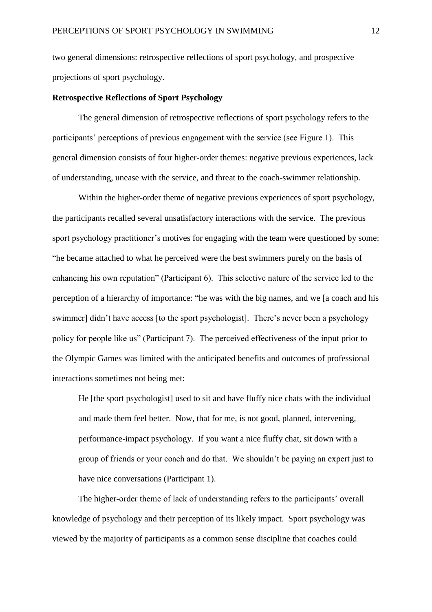two general dimensions: retrospective reflections of sport psychology, and prospective projections of sport psychology.

#### **Retrospective Reflections of Sport Psychology**

The general dimension of retrospective reflections of sport psychology refers to the participants' perceptions of previous engagement with the service (see Figure 1). This general dimension consists of four higher-order themes: negative previous experiences, lack of understanding, unease with the service, and threat to the coach-swimmer relationship.

Within the higher-order theme of negative previous experiences of sport psychology, the participants recalled several unsatisfactory interactions with the service. The previous sport psychology practitioner's motives for engaging with the team were questioned by some: "he became attached to what he perceived were the best swimmers purely on the basis of enhancing his own reputation" (Participant 6). This selective nature of the service led to the perception of a hierarchy of importance: "he was with the big names, and we [a coach and his swimmer] didn't have access [to the sport psychologist]. There's never been a psychology policy for people like us" (Participant 7). The perceived effectiveness of the input prior to the Olympic Games was limited with the anticipated benefits and outcomes of professional interactions sometimes not being met:

He [the sport psychologist] used to sit and have fluffy nice chats with the individual and made them feel better. Now, that for me, is not good, planned, intervening, performance-impact psychology. If you want a nice fluffy chat, sit down with a group of friends or your coach and do that. We shouldn't be paying an expert just to have nice conversations (Participant 1).

The higher-order theme of lack of understanding refers to the participants' overall knowledge of psychology and their perception of its likely impact. Sport psychology was viewed by the majority of participants as a common sense discipline that coaches could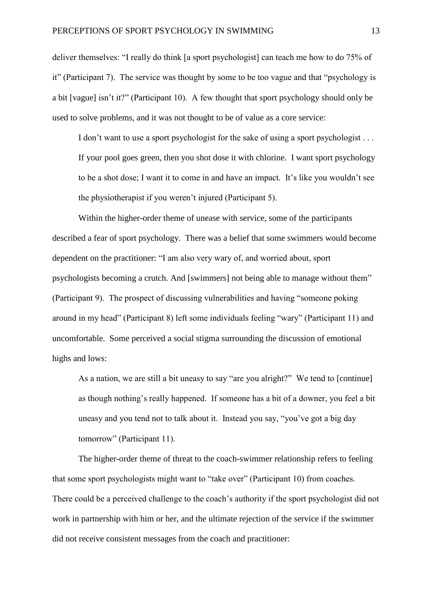deliver themselves: "I really do think [a sport psychologist] can teach me how to do 75% of it" (Participant 7). The service was thought by some to be too vague and that "psychology is a bit [vague] isn't it?" (Participant 10). A few thought that sport psychology should only be used to solve problems, and it was not thought to be of value as a core service:

I don't want to use a sport psychologist for the sake of using a sport psychologist . . . If your pool goes green, then you shot dose it with chlorine. I want sport psychology to be a shot dose; I want it to come in and have an impact. It's like you wouldn't see the physiotherapist if you weren't injured (Participant 5).

Within the higher-order theme of unease with service, some of the participants described a fear of sport psychology. There was a belief that some swimmers would become dependent on the practitioner: "I am also very wary of, and worried about, sport psychologists becoming a crutch. And [swimmers] not being able to manage without them" (Participant 9). The prospect of discussing vulnerabilities and having "someone poking around in my head" (Participant 8) left some individuals feeling "wary" (Participant 11) and uncomfortable. Some perceived a social stigma surrounding the discussion of emotional highs and lows:

As a nation, we are still a bit uneasy to say "are you alright?" We tend to [continue] as though nothing's really happened. If someone has a bit of a downer, you feel a bit uneasy and you tend not to talk about it. Instead you say, "you've got a big day tomorrow" (Participant 11).

The higher-order theme of threat to the coach-swimmer relationship refers to feeling that some sport psychologists might want to "take over" (Participant 10) from coaches. There could be a perceived challenge to the coach's authority if the sport psychologist did not work in partnership with him or her, and the ultimate rejection of the service if the swimmer did not receive consistent messages from the coach and practitioner: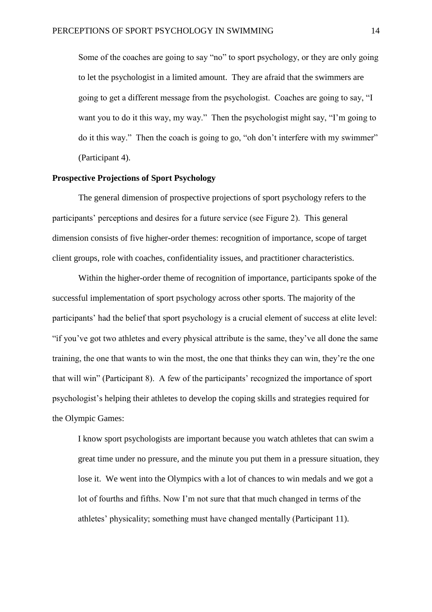Some of the coaches are going to say "no" to sport psychology, or they are only going to let the psychologist in a limited amount. They are afraid that the swimmers are going to get a different message from the psychologist. Coaches are going to say, "I want you to do it this way, my way." Then the psychologist might say, "I'm going to do it this way." Then the coach is going to go, "oh don't interfere with my swimmer" (Participant 4).

### **Prospective Projections of Sport Psychology**

The general dimension of prospective projections of sport psychology refers to the participants' perceptions and desires for a future service (see Figure 2). This general dimension consists of five higher-order themes: recognition of importance, scope of target client groups, role with coaches, confidentiality issues, and practitioner characteristics.

Within the higher-order theme of recognition of importance, participants spoke of the successful implementation of sport psychology across other sports. The majority of the participants' had the belief that sport psychology is a crucial element of success at elite level: "if you've got two athletes and every physical attribute is the same, they've all done the same training, the one that wants to win the most, the one that thinks they can win, they're the one that will win" (Participant 8). A few of the participants' recognized the importance of sport psychologist's helping their athletes to develop the coping skills and strategies required for the Olympic Games:

I know sport psychologists are important because you watch athletes that can swim a great time under no pressure, and the minute you put them in a pressure situation, they lose it. We went into the Olympics with a lot of chances to win medals and we got a lot of fourths and fifths. Now I'm not sure that that much changed in terms of the athletes' physicality; something must have changed mentally (Participant 11).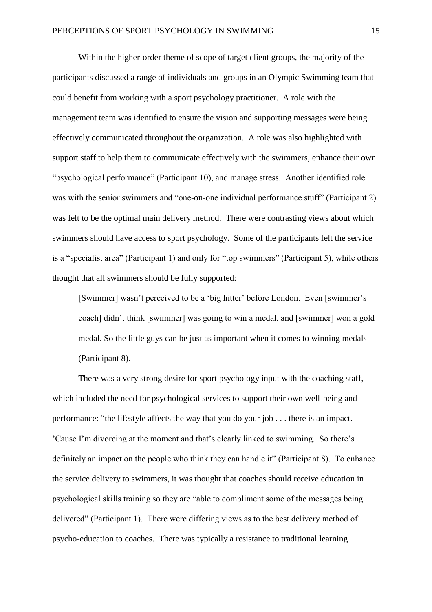Within the higher-order theme of scope of target client groups, the majority of the participants discussed a range of individuals and groups in an Olympic Swimming team that could benefit from working with a sport psychology practitioner. A role with the management team was identified to ensure the vision and supporting messages were being effectively communicated throughout the organization. A role was also highlighted with support staff to help them to communicate effectively with the swimmers, enhance their own "psychological performance" (Participant 10), and manage stress. Another identified role was with the senior swimmers and "one-on-one individual performance stuff" (Participant 2) was felt to be the optimal main delivery method. There were contrasting views about which swimmers should have access to sport psychology. Some of the participants felt the service is a "specialist area" (Participant 1) and only for "top swimmers" (Participant 5), while others thought that all swimmers should be fully supported:

[Swimmer] wasn't perceived to be a 'big hitter' before London. Even [swimmer's coach] didn't think [swimmer] was going to win a medal, and [swimmer] won a gold medal. So the little guys can be just as important when it comes to winning medals (Participant 8).

There was a very strong desire for sport psychology input with the coaching staff, which included the need for psychological services to support their own well-being and performance: "the lifestyle affects the way that you do your job . . . there is an impact. 'Cause I'm divorcing at the moment and that's clearly linked to swimming. So there's definitely an impact on the people who think they can handle it" (Participant 8). To enhance the service delivery to swimmers, it was thought that coaches should receive education in psychological skills training so they are "able to compliment some of the messages being delivered" (Participant 1). There were differing views as to the best delivery method of psycho-education to coaches. There was typically a resistance to traditional learning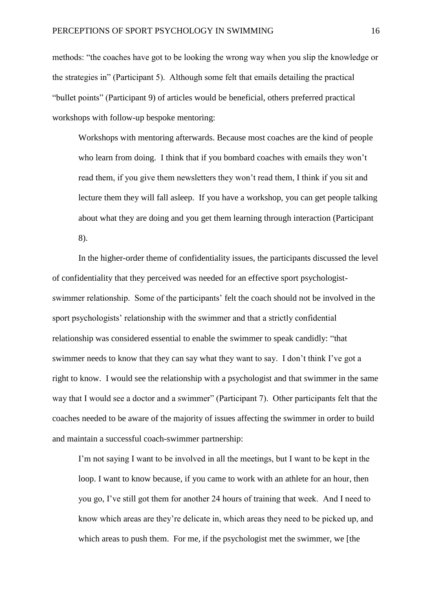methods: "the coaches have got to be looking the wrong way when you slip the knowledge or the strategies in" (Participant 5). Although some felt that emails detailing the practical "bullet points" (Participant 9) of articles would be beneficial, others preferred practical workshops with follow-up bespoke mentoring:

Workshops with mentoring afterwards. Because most coaches are the kind of people who learn from doing. I think that if you bombard coaches with emails they won't read them, if you give them newsletters they won't read them, I think if you sit and lecture them they will fall asleep. If you have a workshop, you can get people talking about what they are doing and you get them learning through interaction (Participant 8).

In the higher-order theme of confidentiality issues, the participants discussed the level of confidentiality that they perceived was needed for an effective sport psychologistswimmer relationship. Some of the participants' felt the coach should not be involved in the sport psychologists' relationship with the swimmer and that a strictly confidential relationship was considered essential to enable the swimmer to speak candidly: "that swimmer needs to know that they can say what they want to say. I don't think I've got a right to know. I would see the relationship with a psychologist and that swimmer in the same way that I would see a doctor and a swimmer" (Participant 7). Other participants felt that the coaches needed to be aware of the majority of issues affecting the swimmer in order to build and maintain a successful coach-swimmer partnership:

I'm not saying I want to be involved in all the meetings, but I want to be kept in the loop. I want to know because, if you came to work with an athlete for an hour, then you go, I've still got them for another 24 hours of training that week. And I need to know which areas are they're delicate in, which areas they need to be picked up, and which areas to push them. For me, if the psychologist met the swimmer, we [the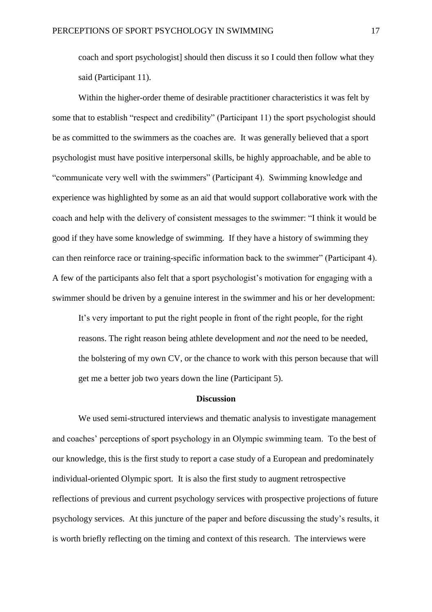coach and sport psychologist] should then discuss it so I could then follow what they said (Participant 11).

Within the higher-order theme of desirable practitioner characteristics it was felt by some that to establish "respect and credibility" (Participant 11) the sport psychologist should be as committed to the swimmers as the coaches are. It was generally believed that a sport psychologist must have positive interpersonal skills, be highly approachable, and be able to "communicate very well with the swimmers" (Participant 4). Swimming knowledge and experience was highlighted by some as an aid that would support collaborative work with the coach and help with the delivery of consistent messages to the swimmer: "I think it would be good if they have some knowledge of swimming. If they have a history of swimming they can then reinforce race or training-specific information back to the swimmer" (Participant 4). A few of the participants also felt that a sport psychologist's motivation for engaging with a swimmer should be driven by a genuine interest in the swimmer and his or her development:

It's very important to put the right people in front of the right people, for the right reasons. The right reason being athlete development and *not* the need to be needed, the bolstering of my own CV, or the chance to work with this person because that will get me a better job two years down the line (Participant 5).

### **Discussion**

We used semi-structured interviews and thematic analysis to investigate management and coaches' perceptions of sport psychology in an Olympic swimming team. To the best of our knowledge, this is the first study to report a case study of a European and predominately individual-oriented Olympic sport. It is also the first study to augment retrospective reflections of previous and current psychology services with prospective projections of future psychology services. At this juncture of the paper and before discussing the study's results, it is worth briefly reflecting on the timing and context of this research. The interviews were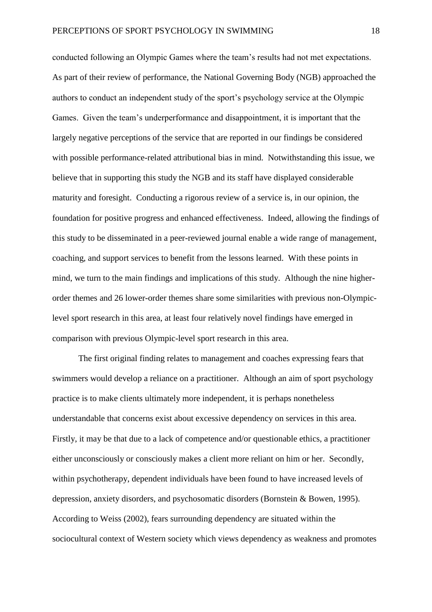conducted following an Olympic Games where the team's results had not met expectations. As part of their review of performance, the National Governing Body (NGB) approached the authors to conduct an independent study of the sport's psychology service at the Olympic Games. Given the team's underperformance and disappointment, it is important that the largely negative perceptions of the service that are reported in our findings be considered with possible performance-related attributional bias in mind. Notwithstanding this issue, we believe that in supporting this study the NGB and its staff have displayed considerable maturity and foresight. Conducting a rigorous review of a service is, in our opinion, the foundation for positive progress and enhanced effectiveness. Indeed, allowing the findings of this study to be disseminated in a peer-reviewed journal enable a wide range of management, coaching, and support services to benefit from the lessons learned. With these points in mind, we turn to the main findings and implications of this study. Although the nine higherorder themes and 26 lower-order themes share some similarities with previous non-Olympiclevel sport research in this area, at least four relatively novel findings have emerged in comparison with previous Olympic-level sport research in this area.

The first original finding relates to management and coaches expressing fears that swimmers would develop a reliance on a practitioner. Although an aim of sport psychology practice is to make clients ultimately more independent, it is perhaps nonetheless understandable that concerns exist about excessive dependency on services in this area. Firstly, it may be that due to a lack of competence and/or questionable ethics, a practitioner either unconsciously or consciously makes a client more reliant on him or her. Secondly, within psychotherapy, dependent individuals have been found to have increased levels of depression, anxiety disorders, and psychosomatic disorders (Bornstein & Bowen, 1995). According to Weiss (2002), fears surrounding dependency are situated within the sociocultural context of Western society which views dependency as weakness and promotes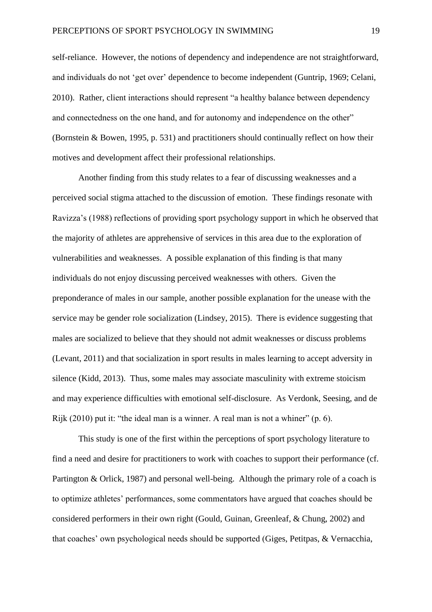self-reliance. However, the notions of dependency and independence are not straightforward, and individuals do not 'get over' dependence to become independent (Guntrip, 1969; Celani, 2010). Rather, client interactions should represent "a healthy balance between dependency and connectedness on the one hand, and for autonomy and independence on the other" (Bornstein & Bowen, 1995, p. 531) and practitioners should continually reflect on how their motives and development affect their professional relationships.

Another finding from this study relates to a fear of discussing weaknesses and a perceived social stigma attached to the discussion of emotion. These findings resonate with Ravizza's (1988) reflections of providing sport psychology support in which he observed that the majority of athletes are apprehensive of services in this area due to the exploration of vulnerabilities and weaknesses. A possible explanation of this finding is that many individuals do not enjoy discussing perceived weaknesses with others. Given the preponderance of males in our sample, another possible explanation for the unease with the service may be gender role socialization (Lindsey, 2015). There is evidence suggesting that males are socialized to believe that they should not admit weaknesses or discuss problems (Levant, 2011) and that socialization in sport results in males learning to accept adversity in silence (Kidd, 2013). Thus, some males may associate masculinity with extreme stoicism and may experience difficulties with emotional self-disclosure. As Verdonk, Seesing, and de Rijk (2010) put it: "the ideal man is a winner. A real man is not a whiner" (p. 6).

This study is one of the first within the perceptions of sport psychology literature to find a need and desire for practitioners to work with coaches to support their performance (cf. Partington & Orlick, 1987) and personal well-being. Although the primary role of a coach is to optimize athletes' performances, some commentators have argued that coaches should be considered performers in their own right (Gould, Guinan, Greenleaf, & Chung, 2002) and that coaches' own psychological needs should be supported (Giges, Petitpas, & Vernacchia,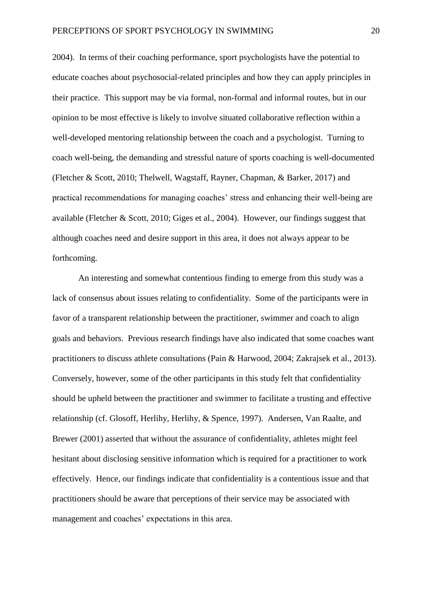2004). In terms of their coaching performance, sport psychologists have the potential to educate coaches about psychosocial-related principles and how they can apply principles in their practice. This support may be via formal, non-formal and informal routes, but in our opinion to be most effective is likely to involve situated collaborative reflection within a well-developed mentoring relationship between the coach and a psychologist. Turning to coach well-being, the demanding and stressful nature of sports coaching is well-documented (Fletcher & Scott, 2010; Thelwell, Wagstaff, Rayner, Chapman, & Barker, 2017) and practical recommendations for managing coaches' stress and enhancing their well-being are available (Fletcher & Scott, 2010; Giges et al., 2004). However, our findings suggest that although coaches need and desire support in this area, it does not always appear to be forthcoming.

An interesting and somewhat contentious finding to emerge from this study was a lack of consensus about issues relating to confidentiality. Some of the participants were in favor of a transparent relationship between the practitioner, swimmer and coach to align goals and behaviors. Previous research findings have also indicated that some coaches want practitioners to discuss athlete consultations (Pain & Harwood, 2004; Zakrajsek et al., 2013). Conversely, however, some of the other participants in this study felt that confidentiality should be upheld between the practitioner and swimmer to facilitate a trusting and effective relationship (cf. Glosoff, Herlihy, Herlihy, & Spence, 1997). Andersen, Van Raalte, and Brewer (2001) asserted that without the assurance of confidentiality, athletes might feel hesitant about disclosing sensitive information which is required for a practitioner to work effectively. Hence, our findings indicate that confidentiality is a contentious issue and that practitioners should be aware that perceptions of their service may be associated with management and coaches' expectations in this area.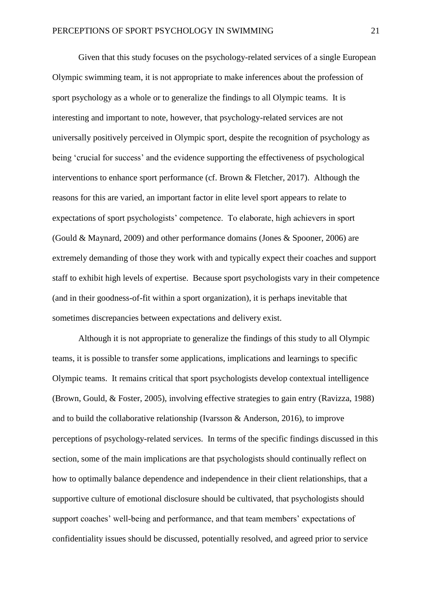Given that this study focuses on the psychology-related services of a single European Olympic swimming team, it is not appropriate to make inferences about the profession of sport psychology as a whole or to generalize the findings to all Olympic teams. It is interesting and important to note, however, that psychology-related services are not universally positively perceived in Olympic sport, despite the recognition of psychology as being 'crucial for success' and the evidence supporting the effectiveness of psychological interventions to enhance sport performance (cf. Brown & Fletcher, 2017). Although the reasons for this are varied, an important factor in elite level sport appears to relate to expectations of sport psychologists' competence. To elaborate, high achievers in sport (Gould & Maynard, 2009) and other performance domains (Jones & Spooner, 2006) are extremely demanding of those they work with and typically expect their coaches and support staff to exhibit high levels of expertise. Because sport psychologists vary in their competence (and in their goodness-of-fit within a sport organization), it is perhaps inevitable that sometimes discrepancies between expectations and delivery exist.

Although it is not appropriate to generalize the findings of this study to all Olympic teams, it is possible to transfer some applications, implications and learnings to specific Olympic teams. It remains critical that sport psychologists develop contextual intelligence (Brown, Gould, & Foster, 2005), involving effective strategies to gain entry (Ravizza, 1988) and to build the collaborative relationship (Ivarsson & Anderson, 2016), to improve perceptions of psychology-related services. In terms of the specific findings discussed in this section, some of the main implications are that psychologists should continually reflect on how to optimally balance dependence and independence in their client relationships, that a supportive culture of emotional disclosure should be cultivated, that psychologists should support coaches' well-being and performance, and that team members' expectations of confidentiality issues should be discussed, potentially resolved, and agreed prior to service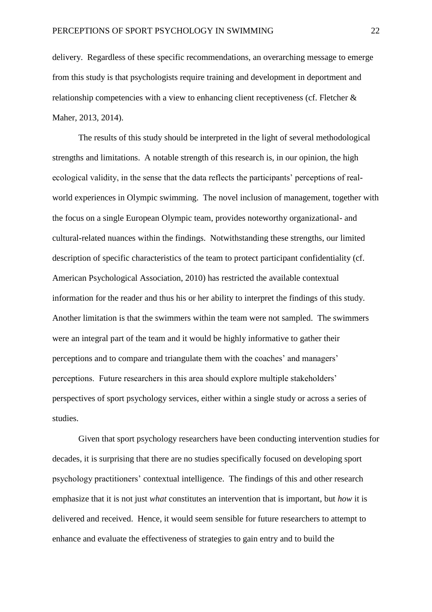delivery. Regardless of these specific recommendations, an overarching message to emerge from this study is that psychologists require training and development in deportment and relationship competencies with a view to enhancing client receptiveness (cf. Fletcher & Maher, 2013, 2014).

The results of this study should be interpreted in the light of several methodological strengths and limitations. A notable strength of this research is, in our opinion, the high ecological validity, in the sense that the data reflects the participants' perceptions of realworld experiences in Olympic swimming. The novel inclusion of management, together with the focus on a single European Olympic team, provides noteworthy organizational- and cultural-related nuances within the findings. Notwithstanding these strengths, our limited description of specific characteristics of the team to protect participant confidentiality (cf. American Psychological Association, 2010) has restricted the available contextual information for the reader and thus his or her ability to interpret the findings of this study. Another limitation is that the swimmers within the team were not sampled. The swimmers were an integral part of the team and it would be highly informative to gather their perceptions and to compare and triangulate them with the coaches' and managers' perceptions. Future researchers in this area should explore multiple stakeholders' perspectives of sport psychology services, either within a single study or across a series of studies.

Given that sport psychology researchers have been conducting intervention studies for decades, it is surprising that there are no studies specifically focused on developing sport psychology practitioners' contextual intelligence. The findings of this and other research emphasize that it is not just *what* constitutes an intervention that is important, but *how* it is delivered and received. Hence, it would seem sensible for future researchers to attempt to enhance and evaluate the effectiveness of strategies to gain entry and to build the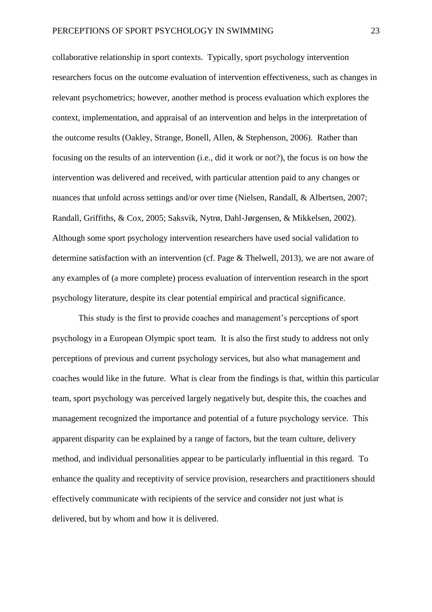collaborative relationship in sport contexts. Typically, sport psychology intervention researchers focus on the outcome evaluation of intervention effectiveness, such as changes in relevant psychometrics; however, another method is process evaluation which explores the context, implementation, and appraisal of an intervention and helps in the interpretation of the outcome results (Oakley, Strange, Bonell, Allen, & Stephenson, 2006). Rather than focusing on the results of an intervention (i.e., did it work or not?), the focus is on how the intervention was delivered and received, with particular attention paid to any changes or nuances that unfold across settings and/or over time (Nielsen, Randall, & Albertsen, 2007; Randall, Griffiths, & Cox, 2005; Saksvik, Nytrø, Dahl-Jørgensen, & Mikkelsen, 2002). Although some sport psychology intervention researchers have used social validation to determine satisfaction with an intervention (cf. Page & Thelwell, 2013), we are not aware of any examples of (a more complete) process evaluation of intervention research in the sport psychology literature, despite its clear potential empirical and practical significance.

This study is the first to provide coaches and management's perceptions of sport psychology in a European Olympic sport team. It is also the first study to address not only perceptions of previous and current psychology services, but also what management and coaches would like in the future. What is clear from the findings is that, within this particular team, sport psychology was perceived largely negatively but, despite this, the coaches and management recognized the importance and potential of a future psychology service. This apparent disparity can be explained by a range of factors, but the team culture, delivery method, and individual personalities appear to be particularly influential in this regard. To enhance the quality and receptivity of service provision, researchers and practitioners should effectively communicate with recipients of the service and consider not just what is delivered, but by whom and how it is delivered.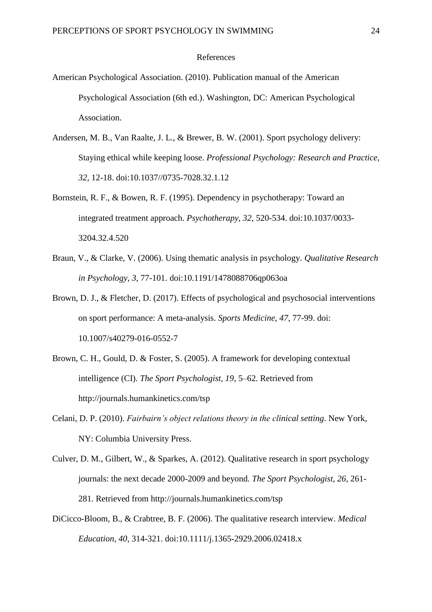#### References

- American Psychological Association. (2010). Publication manual of the American Psychological Association (6th ed.). Washington, DC: American Psychological Association.
- Andersen, M. B., Van Raalte, J. L., & Brewer, B. W. (2001). Sport psychology delivery: Staying ethical while keeping loose. *Professional Psychology: Research and Practice, 32,* 12-18. doi:10.1037//0735-7028.32.1.12
- Bornstein, R. F., & Bowen, R. F. (1995). Dependency in psychotherapy: Toward an integrated treatment approach. *Psychotherapy*, *32*, 520-534. doi:10.1037/0033- 3204.32.4.520
- Braun, V., & Clarke, V. (2006). Using thematic analysis in psychology. *Qualitative Research in Psychology, 3,* 77-101. doi:10.1191/1478088706qp063oa
- Brown, D. J., & Fletcher, D. (2017). Effects of psychological and psychosocial interventions on sport performance: A meta-analysis. *Sports Medicine*, *47*, 77-99. doi: 10.1007/s40279-016-0552-7
- Brown, C. H., Gould, D. & Foster, S. (2005). A framework for developing contextual intelligence (CI). *The Sport Psychologist, 19*, 5–62. Retrieved from http://journals.humankinetics.com/tsp
- Celani, D. P. (2010). *Fairbairn's object relations theory in the clinical setting*. New York, NY: Columbia University Press.
- Culver, D. M., Gilbert, W., & Sparkes, A. (2012). Qualitative research in sport psychology journals: the next decade 2000-2009 and beyond*. The Sport Psychologist, 26,* 261- 281. Retrieved from http://journals.humankinetics.com/tsp
- DiCicco-Bloom, B., & Crabtree, B. F. (2006). The qualitative research interview. *Medical Education, 40,* 314-321. doi:10.1111/j.1365-2929.2006.02418.x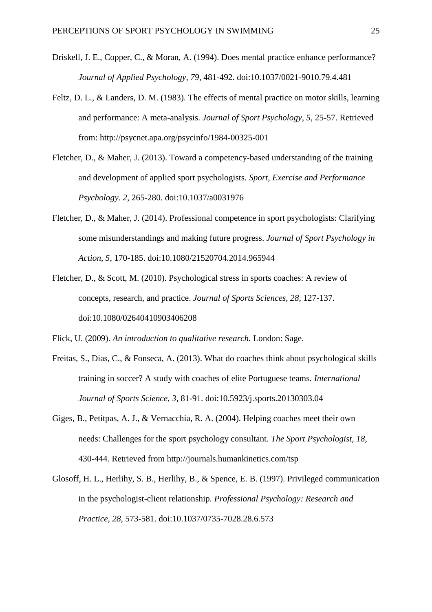- Driskell, J. E., Copper, C., & Moran, A. (1994). Does mental practice enhance performance? *Journal of Applied Psychology, 79*, 481-492. doi:10.1037/0021-9010.79.4.481
- Feltz, D. L., & Landers, D. M. (1983). The effects of mental practice on motor skills, learning and performance: A meta-analysis. *Journal of Sport Psychology, 5,* 25-57. Retrieved from: http://psycnet.apa.org/psycinfo/1984-00325-001
- Fletcher, D., & Maher, J. (2013). Toward a competency-based understanding of the training and development of applied sport psychologists. *Sport, Exercise and Performance Psychology*. *2*, 265-280. doi:10.1037/a0031976
- Fletcher, D., & Maher, J. (2014). Professional competence in sport psychologists: Clarifying some misunderstandings and making future progress. *Journal of Sport Psychology in Action*, *5*, 170-185. doi:10.1080/21520704.2014.965944
- Fletcher, D., & Scott, M. (2010). Psychological stress in sports coaches: A review of concepts, research, and practice. *Journal of Sports Sciences, 28,* 127-137. doi:10.1080/02640410903406208

Flick, U. (2009). *An introduction to qualitative research.* London: Sage.

- Freitas, S., Dias, C., & Fonseca, A. (2013). What do coaches think about psychological skills training in soccer? A study with coaches of elite Portuguese teams. *International Journal of Sports Science, 3,* 81-91. doi:10.5923/j.sports.20130303.04
- Giges, B., Petitpas, A. J., & Vernacchia, R. A. (2004). Helping coaches meet their own needs: Challenges for the sport psychology consultant. *The Sport Psychologist, 18,* 430-444. Retrieved from http://journals.humankinetics.com/tsp
- Glosoff, H. L., Herlihy, S. B., Herlihy, B., & Spence, E. B. (1997). Privileged communication in the psychologist-client relationship. *Professional Psychology: Research and Practice, 28,* 573-581. doi:10.1037/0735-7028.28.6.573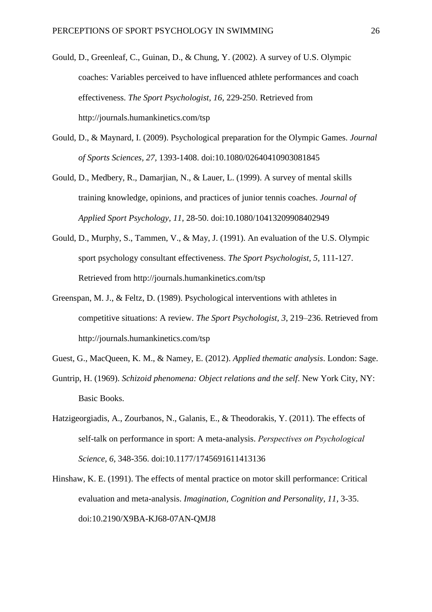- Gould, D., Greenleaf, C., Guinan, D., & Chung, Y. (2002). A survey of U.S. Olympic coaches: Variables perceived to have influenced athlete performances and coach effectiveness. *The Sport Psychologist, 16,* 229-250. Retrieved from http://journals.humankinetics.com/tsp
- Gould, D., & Maynard, I. (2009). Psychological preparation for the Olympic Games. *Journal of Sports Sciences, 27,* 1393-1408. doi:10.1080/02640410903081845
- Gould, D., Medbery, R., Damarjian, N., & Lauer, L. (1999). A survey of mental skills training knowledge, opinions, and practices of junior tennis coaches. *Journal of Applied Sport Psychology, 11*, 28-50. doi:10.1080/10413209908402949
- Gould, D., Murphy, S., Tammen, V., & May, J. (1991). An evaluation of the U.S. Olympic sport psychology consultant effectiveness. *The Sport Psychologist, 5,* 111-127. Retrieved from http://journals.humankinetics.com/tsp
- Greenspan, M. J., & Feltz, D. (1989). Psychological interventions with athletes in competitive situations: A review. *The Sport Psychologist, 3*, 219–236. Retrieved from http://journals.humankinetics.com/tsp
- Guest, G., MacQueen, K. M., & Namey, E. (2012). *Applied thematic analysis*. London: Sage.
- Guntrip, H. (1969). *Schizoid phenomena: Object relations and the self*. New York City, NY: Basic Books.
- Hatzigeorgiadis, A., Zourbanos, N., Galanis, E., & Theodorakis, Y. (2011). The effects of self-talk on performance in sport: A meta-analysis. *Perspectives οn Psychological Science, 6,* 348-356. doi:10.1177/1745691611413136
- Hinshaw, K. E. (1991). The effects of mental practice on motor skill performance: Critical evaluation and meta-analysis. *Imagination, Cognition and Personality, 11*, 3-35. doi:10.2190/X9BA-KJ68-07AN-QMJ8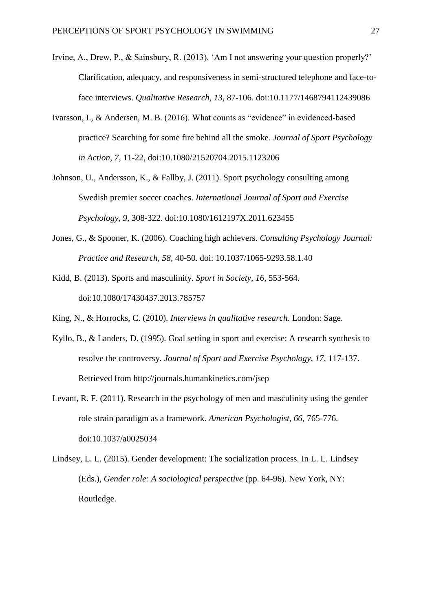- Irvine, A., Drew, P., & Sainsbury, R. (2013). 'Am I not answering your question properly?' Clarification, adequacy, and responsiveness in semi-structured telephone and face-toface interviews. *Qualitative Research, 13,* 87-106. doi:10.1177/1468794112439086
- Ivarsson, I., & Andersen, M. B. (2016). What counts as "evidence" in evidenced-based practice? Searching for some fire behind all the smoke. *Journal of Sport Psychology in Action, 7,* 11-22, doi:10.1080/21520704.2015.1123206
- Johnson, U., Andersson, K., & Fallby, J. (2011). Sport psychology consulting among Swedish premier soccer coaches. *International Journal of Sport and Exercise Psychology, 9,* 308-322. doi:10.1080/1612197X.2011.623455
- Jones, G., & Spooner, K. (2006). Coaching high achievers. *Consulting Psychology Journal: Practice and Research, 58,* 40-50. doi: 10.1037/1065-9293.58.1.40
- Kidd, B. (2013). Sports and masculinity. *Sport in Society, 16,* 553-564. doi:10.1080/17430437.2013.785757
- King, N., & Horrocks, C. (2010). *Interviews in qualitative research.* London: Sage.
- Kyllo, B., & Landers, D. (1995). Goal setting in sport and exercise: A research synthesis to resolve the controversy. *Journal of Sport and Exercise Psychology, 17,* 117-137. Retrieved from http://journals.humankinetics.com/jsep
- Levant, R. F. (2011). Research in the psychology of men and masculinity using the gender role strain paradigm as a framework. *American Psychologist, 66,* 765-776. doi:10.1037/a0025034
- Lindsey, L. L. (2015). Gender development: The socialization process. In L. L. Lindsey (Eds.), *Gender role: A sociological perspective* (pp. 64-96). New York, NY: Routledge.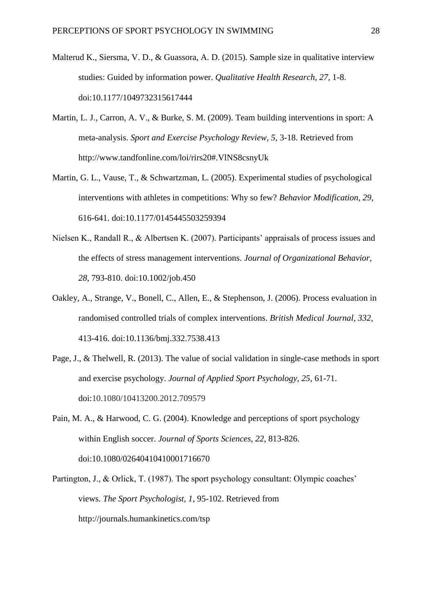- Malterud K., Siersma, V. D., & Guassora, A. D. (2015). Sample size in qualitative interview studies: Guided by information power. *Qualitative Health Research, 27,* 1-8. doi:10.1177/1049732315617444
- Martin, L. J., Carron, A. V., & Burke, S. M. (2009). Team building interventions in sport: A meta-analysis. *Sport and Exercise Psychology Review, 5,* 3-18. Retrieved from http://www.tandfonline.com/loi/rirs20#.VlNS8csnyUk
- Martin, G. L., Vause, T., & Schwartzman, L. (2005). Experimental studies of psychological interventions with athletes in competitions: Why so few? *Behavior Modification, 29,* 616-641. doi:10.1177/0145445503259394
- Nielsen K., Randall R., & Albertsen K. (2007). Participants' appraisals of process issues and the effects of stress management interventions. *Journal of Organizational Behavior, 28*, 793-810. doi:10.1002/job.450
- Oakley, A., Strange, V., Bonell, C., Allen, E., & Stephenson, J. (2006). Process evaluation in randomised controlled trials of complex interventions. *British Medical Journal, 332,* 413-416. doi:10.1136/bmj.332.7538.413
- Page, J., & Thelwell, R. (2013). The value of social validation in single-case methods in sport and exercise psychology. *Journal of Applied Sport Psychology, 25,* 61-71. doi:10.1080/10413200.2012.709579

Pain, M. A., & Harwood, C. G. (2004). Knowledge and perceptions of sport psychology within English soccer. *Journal of Sports Sciences, 22*, 813-826. doi:10.1080/02640410410001716670

Partington, J., & Orlick, T. (1987). The sport psychology consultant: Olympic coaches' views. *The Sport Psychologist, 1,* 95-102. Retrieved from http://journals.humankinetics.com/tsp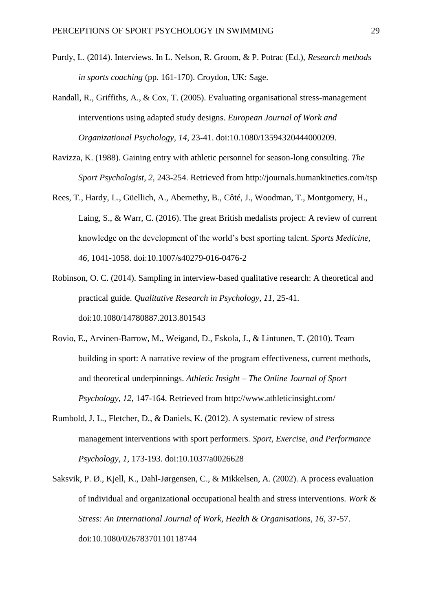- Purdy, L. (2014). Interviews. In L. Nelson, R. Groom, & P. Potrac (Ed.), *Research methods in sports coaching* (pp. 161-170). Croydon, UK: Sage.
- Randall, R., Griffiths, A., & Cox, T. (2005). Evaluating organisational stress-management interventions using adapted study designs. *European Journal of Work and Organizational Psychology, 14,* 23-41. doi:10.1080/13594320444000209.
- Ravizza, K. (1988). Gaining entry with athletic personnel for season-long consulting. *The Sport Psychologist, 2,* 243-254. Retrieved from http://journals.humankinetics.com/tsp
- Rees, T., Hardy, L., Güellich, A., Abernethy, B., Côté, J., Woodman, T., Montgomery, H., Laing, S., & Warr, C. (2016). The great British medalists project: A review of current knowledge on the development of the world's best sporting talent. *Sports Medicine, 46,* 1041-1058. doi:10.1007/s40279-016-0476-2
- Robinson, O. C. (2014). Sampling in interview-based qualitative research: A theoretical and practical guide. *Qualitative Research in Psychology, 11,* 25-41. doi:10.1080/14780887.2013.801543
- Rovio, E., Arvinen-Barrow, M., Weigand, D., Eskola, J., & Lintunen, T. (2010). Team building in sport: A narrative review of the program effectiveness, current methods, and theoretical underpinnings. *Athletic Insight – The Online Journal of Sport Psychology, 12,* 147-164. Retrieved from http://www.athleticinsight.com/
- Rumbold, J. L., Fletcher, D., & Daniels, K. (2012). A systematic review of stress management interventions with sport performers. *Sport, Exercise, and Performance Psychology, 1,* 173-193. doi:10.1037/a0026628
- Saksvik, P. Ø., Kjell, K., Dahl-Jørgensen, C., & Mikkelsen, A. (2002). A process evaluation of individual and organizational occupational health and stress interventions. *Work & Stress: An International Journal of Work, Health & Organisations, 16,* 37-57. doi:10.1080/02678370110118744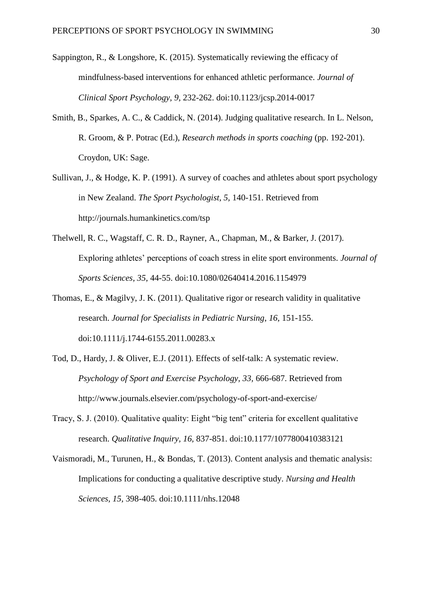- Sappington, R., & Longshore, K. (2015). Systematically reviewing the efficacy of mindfulness-based interventions for enhanced athletic performance. *Journal of Clinical Sport Psychology, 9,* 232-262. doi:10.1123/jcsp.2014-0017
- Smith, B., Sparkes, A. C., & Caddick, N. (2014). Judging qualitative research. In L. Nelson, R. Groom, & P. Potrac (Ed.), *Research methods in sports coaching* (pp. 192-201). Croydon, UK: Sage.
- Sullivan, J., & Hodge, K. P. (1991). A survey of coaches and athletes about sport psychology in New Zealand. *The Sport Psychologist, 5,* 140-151. Retrieved from http://journals.humankinetics.com/tsp
- Thelwell, R. C., Wagstaff, C. R. D., Rayner, A., Chapman, M., & Barker, J. (2017). Exploring athletes' perceptions of coach stress in elite sport environments. *Journal of Sports Sciences, 35,* 44-55. doi:10.1080/02640414.2016.1154979
- Thomas, E., & Magilvy, J. K. (2011). Qualitative rigor or research validity in qualitative research. *Journal for Specialists in Pediatric Nursing, 16,* 151-155. doi:10.1111/j.1744-6155.2011.00283.x
- Tod, D., Hardy, J. & Oliver, E.J. (2011). Effects of self-talk: A systematic review. *Psychology of Sport and Exercise Psychology, 33,* 666-687. Retrieved from http://www.journals.elsevier.com/psychology-of-sport-and-exercise/
- Tracy, S. J. (2010). Qualitative quality: Eight "big tent" criteria for excellent qualitative research. *Qualitative Inquiry, 16,* 837-851. doi:10.1177/1077800410383121
- Vaismoradi, M., Turunen, H., & Bondas, T. (2013). Content analysis and thematic analysis: Implications for conducting a qualitative descriptive study. *Nursing and Health Sciences, 15,* 398-405. doi:10.1111/nhs.12048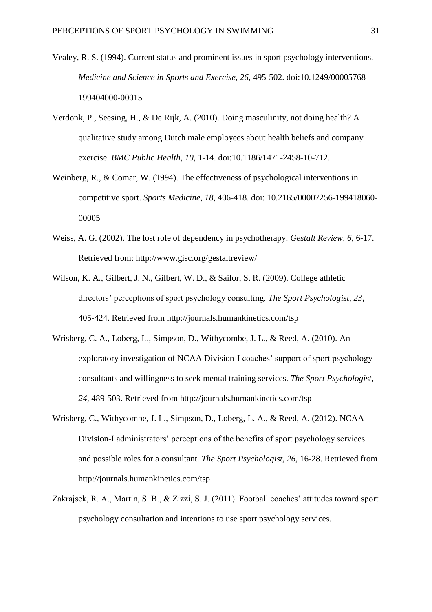- Vealey, R. S. (1994). Current status and prominent issues in sport psychology interventions. *Medicine and Science in Sports and Exercise, 26,* 495-502. doi:10.1249/00005768- 199404000-00015
- Verdonk, P., Seesing, H., & De Rijk, A. (2010). Doing masculinity, not doing health? A qualitative study among Dutch male employees about health beliefs and company exercise. *BMC Public Health, 10,* 1-14. doi:10.1186/1471-2458-10-712.
- Weinberg, R., & Comar, W. (1994). The effectiveness of psychological interventions in competitive sport. *Sports Medicine, 18*, 406-418. doi: 10.2165/00007256-199418060- 00005
- Weiss, A. G. (2002). The lost role of dependency in psychotherapy. *Gestalt Review, 6,* 6-17. Retrieved from: http://www.gisc.org/gestaltreview/
- Wilson, K. A., Gilbert, J. N., Gilbert, W. D., & Sailor, S. R. (2009). College athletic directors' perceptions of sport psychology consulting. *The Sport Psychologist, 23,*  405-424. Retrieved from http://journals.humankinetics.com/tsp
- Wrisberg, C. A., Loberg, L., Simpson, D., Withycombe, J. L., & Reed, A. (2010). An exploratory investigation of NCAA Division-I coaches' support of sport psychology consultants and willingness to seek mental training services. *The Sport Psychologist, 24,* 489-503. Retrieved from http://journals.humankinetics.com/tsp
- Wrisberg, C., Withycombe, J. L., Simpson, D., Loberg, L. A., & Reed, A. (2012). NCAA Division-I administrators' perceptions of the benefits of sport psychology services and possible roles for a consultant. *The Sport Psychologist*, *26*, 16-28. Retrieved from http://journals.humankinetics.com/tsp
- Zakrajsek, R. A., Martin, S. B., & Zizzi, S. J. (2011). Football coaches' attitudes toward sport psychology consultation and intentions to use sport psychology services.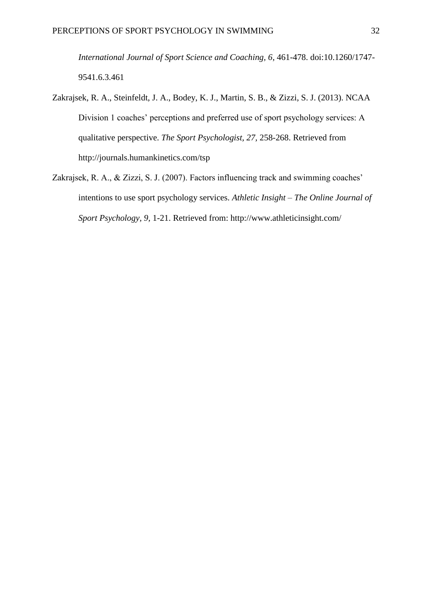*International Journal of Sport Science and Coaching, 6*, 461-478. doi:10.1260/1747- 9541.6.3.461

- Zakrajsek, R. A., Steinfeldt, J. A., Bodey, K. J., Martin, S. B., & Zizzi, S. J. (2013). NCAA Division 1 coaches' perceptions and preferred use of sport psychology services: A qualitative perspective. *The Sport Psychologist, 27,* 258-268. Retrieved from http://journals.humankinetics.com/tsp
- Zakrajsek, R. A., & Zizzi, S. J. (2007). Factors influencing track and swimming coaches' intentions to use sport psychology services. *Athletic Insight – The Online Journal of Sport Psychology, 9,* 1-21. Retrieved from: http://www.athleticinsight.com/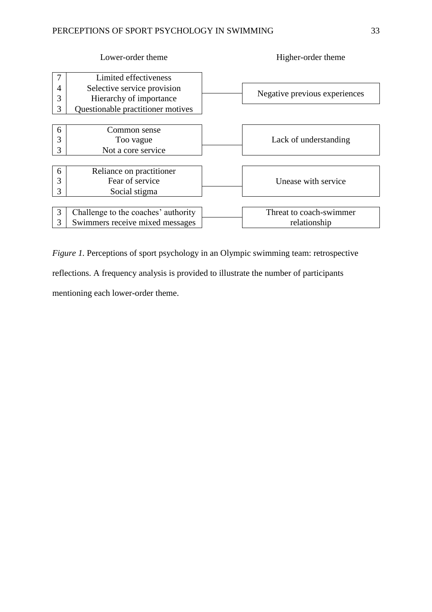|                  | Lower-order theme                                                                                                    | Higher-order theme                      |
|------------------|----------------------------------------------------------------------------------------------------------------------|-----------------------------------------|
| 7<br>4<br>3<br>3 | Limited effectiveness<br>Selective service provision<br>Hierarchy of importance<br>Questionable practitioner motives | Negative previous experiences           |
| 6<br>3<br>3      | Common sense<br>Too vague<br>Not a core service                                                                      | Lack of understanding                   |
| 6<br>3<br>3      | Reliance on practitioner<br>Fear of service<br>Social stigma                                                         | Unease with service                     |
| 3<br>3           | Challenge to the coaches' authority<br>Swimmers receive mixed messages                                               | Threat to coach-swimmer<br>relationship |

*Figure 1*. Perceptions of sport psychology in an Olympic swimming team: retrospective

reflections. A frequency analysis is provided to illustrate the number of participants

mentioning each lower-order theme.